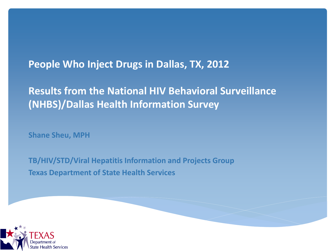#### **People Who Inject Drugs in Dallas, TX, 2012**

#### **Results from the National HIV Behavioral Surveillance (NHBS)/Dallas Health Information Survey**

**Shane Sheu, MPH**

**TB/HIV/STD/Viral Hepatitis Information and Projects Group Texas Department of State Health Services** 

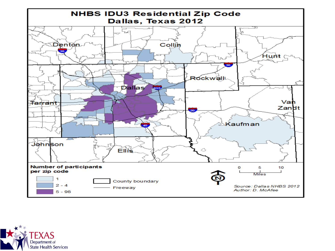

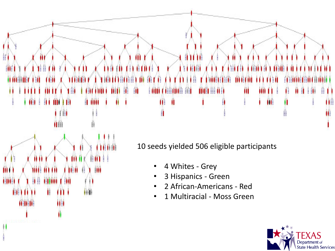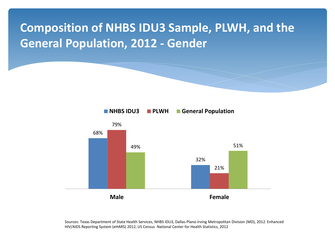### **Composition of NHBS IDU3 Sample, PLWH, and the General Population, 2012 - Gender**



Sources: Texas Department of State Health Services, NHBS IDU3, Dallas-Plano-Irving Metropolitan Division (MD), 2012. Enhanced HIV/AIDS Reporting System (eHARS) 2012, US Census National Center for Health Statistics, 2012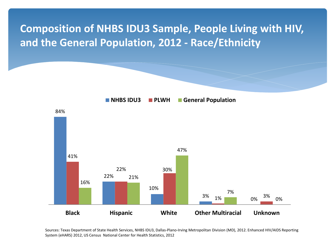### **Composition of NHBS IDU3 Sample, People Living with HIV, and the General Population, 2012 - Race/Ethnicity**



Sources: Texas Department of State Health Services, NHBS IDU3, Dallas-Plano-Irving Metropolitan Division (MD), 2012. Enhanced HIV/AIDS Reporting System (eHARS) 2012, US Census National Center for Health Statistics, 2012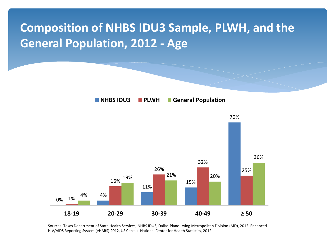### **Composition of NHBS IDU3 Sample, PLWH, and the General Population, 2012 - Age**



Sources: Texas Department of State Health Services, NHBS IDU3, Dallas-Plano-Irving Metropolitan Division (MD), 2012. Enhanced HIV/AIDS Reporting System (eHARS) 2012, US Census National Center for Health Statistics, 2012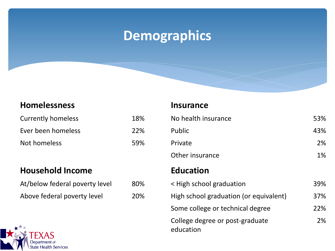## **Demographics**

#### **Homelessness Insurance**

| <b>Currently homeless</b> | 18%        |
|---------------------------|------------|
| Ever been homeless        | <b>22%</b> |
| Not homeless              | 59%        |

#### **Household Income**

| At/below federal poverty level |  |
|--------------------------------|--|
| Above federal poverty level    |  |

| <b>Currently homeless</b>      | 18% | No health insurance                          | 53% |
|--------------------------------|-----|----------------------------------------------|-----|
| Ever been homeless             | 22% | Public                                       | 43% |
| Not homeless                   | 59% | Private                                      | 2%  |
|                                |     | Other insurance                              | 1%  |
| <b>Household Income</b>        |     | <b>Education</b>                             |     |
| At/below federal poverty level | 80% | < High school graduation                     | 39% |
| Above federal poverty level    | 20% | High school graduation (or equivalent)       | 37% |
|                                |     | Some college or technical degree             | 22% |
| $\sqrt{2}$ TFM $\Lambda$ C     |     | College degree or post-graduate<br>education | 2%  |

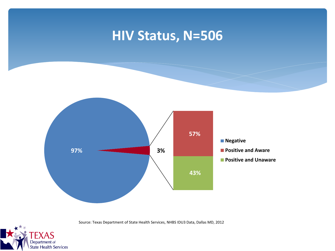### **HIV Status, N=506**



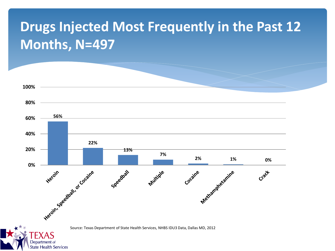# **Drugs Injected Most Frequently in the Past 12 Months, N=497**

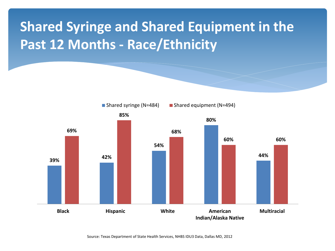# **Shared Syringe and Shared Equipment in the Past 12 Months - Race/Ethnicity**

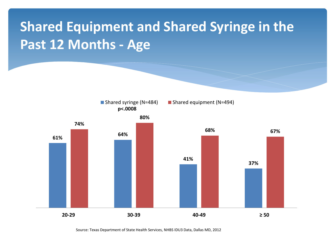# **Shared Equipment and Shared Syringe in the Past 12 Months - Age**

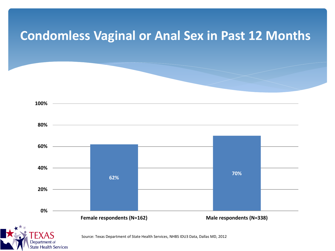### **Condomless Vaginal or Anal Sex in Past 12 Months**

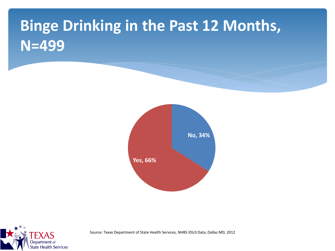# **Binge Drinking in the Past 12 Months, N=499**



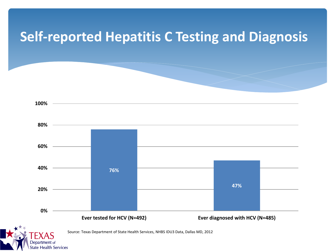### **Self-reported Hepatitis C Testing and Diagnosis**

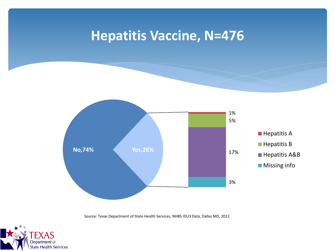### **Hepatitis Vaccine, N=476**



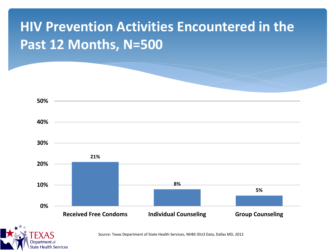# **HIV Prevention Activities Encountered in the Past 12 Months, N=500**

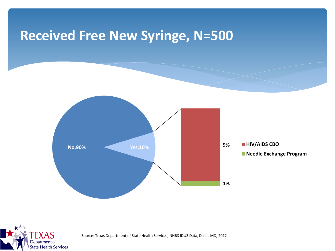### **Received Free New Syringe, N=500**



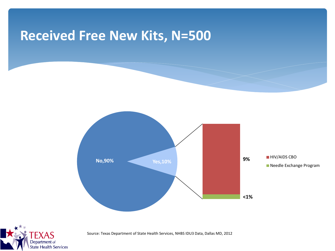### **Received Free New Kits, N=500**



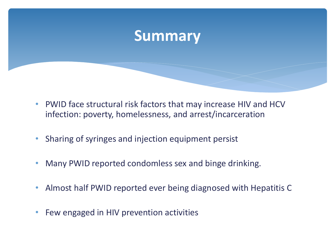### **Summary**

- PWID face structural risk factors that may increase HIV and HCV infection: poverty, homelessness, and arrest/incarceration
- Sharing of syringes and injection equipment persist
- Many PWID reported condomless sex and binge drinking.
- Almost half PWID reported ever being diagnosed with Hepatitis C
- Few engaged in HIV prevention activities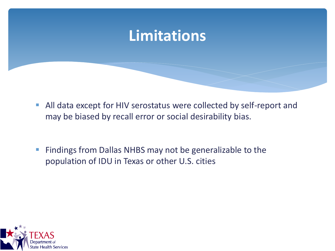## **Limitations**

- All data except for HIV serostatus were collected by self-report and may be biased by recall error or social desirability bias.
- **Findings from Dallas NHBS may not be generalizable to the** population of IDU in Texas or other U.S. cities

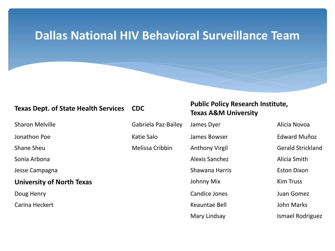### **Dallas National HIV Behavioral Surveillance Team**

#### **University of North Texas** Johnny Mix Kim Truss

Carina Heckert **Keauntae Bell** John Marks

#### **Texas Dept. of State Health Services CDC Public Policy Research Institute, Property Texas A&M University**

Sharon Melville **Sharon Melville** Gabriela Paz-Bailey James Dyer Alicia Novoa

Sonia Arbona **Alicia Smith** Alexis Sanchez Alexis Sanchez Alicia Smith Jesse Campagna National According to the Shawana Harris Theorem Eston Dixon

Doug Henry **Candice Jones Candice Jones** Juan Gomez

Jonathon Poe **Good Conferent Contract Conferent Conference** Constants Constanting Constants Constants Constants C Shane Sheu **Shane Sheu** Melissa Cribbin Anthony Virgil Gerald Strickland

Mary Lindsay **Ismael Rodriguez**